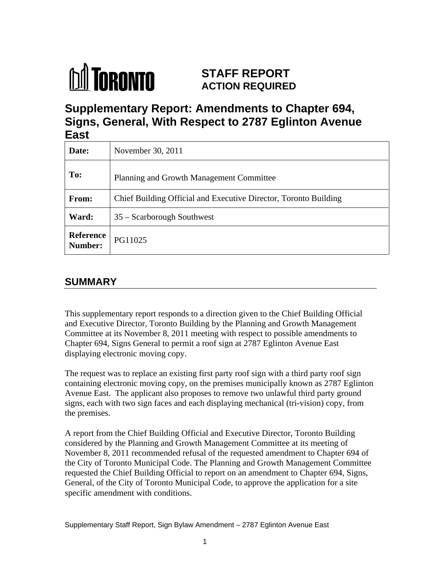

# **ACTION REQUIRED**

**Supplementary Report: Amendments to Chapter 694, Signs, General, With Respect to 2787 Eglinton Avenue East** 

| $- - - -$         |                                                                  |
|-------------------|------------------------------------------------------------------|
| Date:             | November 30, 2011                                                |
| To:               | Planning and Growth Management Committee                         |
| From:             | Chief Building Official and Executive Director, Toronto Building |
| Ward:             | 35 - Scarborough Southwest                                       |
| Reference PG11025 |                                                                  |

## **SUMMARY**

This supplementary report responds to a direction given to the Chief Building Official and Executive Director, Toronto Building by the Planning and Growth Management Committee at its November 8, 2011 meeting with respect to possible amendments to Chapter 694, Signs General to permit a roof sign at 2787 Eglinton Avenue East displaying electronic moving copy.

The request was to replace an existing first party roof sign with a third party roof sign containing electronic moving copy, on the premises municipally known as 2787 Eglinton Avenue East. The applicant also proposes to remove two unlawful third party ground signs, each with two sign faces and each displaying mechanical (tri-vision) copy, from the premises.

A report from the Chief Building Official and Executive Director, Toronto Building considered by the Planning and Growth Management Committee at its meeting of November 8, 2011 recommended refusal of the requested amendment to Chapter 694 of the City of Toronto Municipal Code. The Planning and Growth Management Committee requested the Chief Building Official to report on an amendment to Chapter 694, Signs, General, of the City of Toronto Municipal Code, to approve the application for a site specific amendment with conditions.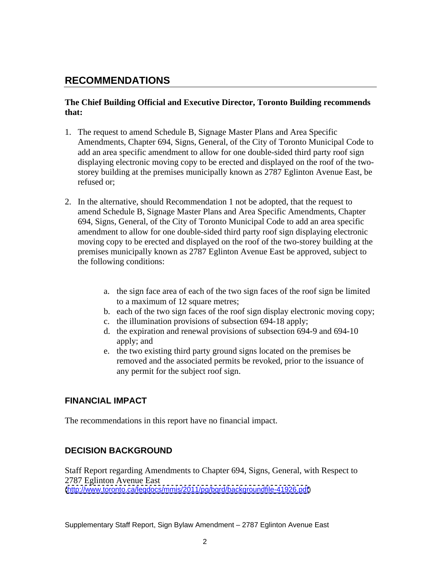## **RECOMMENDATIONS**

#### **The Chief Building Official and Executive Director, Toronto Building recommends that:**

- 1. The request to amend Schedule B, Signage Master Plans and Area Specific Amendments, Chapter 694, Signs, General, of the City of Toronto Municipal Code to add an area specific amendment to allow for one double-sided third party roof sign displaying electronic moving copy to be erected and displayed on the roof of the two storey building at the premises municipally known as 2787 Eglinton Avenue East, be refused or;
- 2. In the alternative, should Recommendation 1 not be adopted, that the request to amend Schedule B, Signage Master Plans and Area Specific Amendments, Chapter 694, Signs, General, of the City of Toronto Municipal Code to add an area specific amendment to allow for one double-sided third party roof sign displaying electronic moving copy to be erected and displayed on the roof of the two-storey building at the premises municipally known as 2787 Eglinton Avenue East be approved, subject to the following conditions:
	- a. the sign face area of each of the two sign faces of the roof sign be limited to a maximum of 12 square metres;
	- b. each of the two sign faces of the roof sign display electronic moving copy;
	- c. the illumination provisions of subsection 694-18 apply;
	- d. the expiration and renewal provisions of subsection 694-9 and 694-10 apply; and
	- e. the two existing third party ground signs located on the premises be removed and the associated permits be revoked, prior to the issuance of any permit for the subject roof sign.

#### **FINANCIAL IMPACT**

The recommendations in this report have no financial impact.

#### **DECISION BACKGROUND**

Staff Report regarding Amendments to Chapter 694, Signs, General, with Respect to 2787 Eglinton Avenue East [\(http://www.toronto.ca/legdocs/mmis/2011/pg/bgrd/backgroundfile-41926.pdf](http://www.toronto.ca/legdocs/mmis/2011/pg/bgrd/backgroundfile-41926.pdf))

Supplementary Staff Report, Sign Bylaw Amendment – 2787 Eglinton Avenue East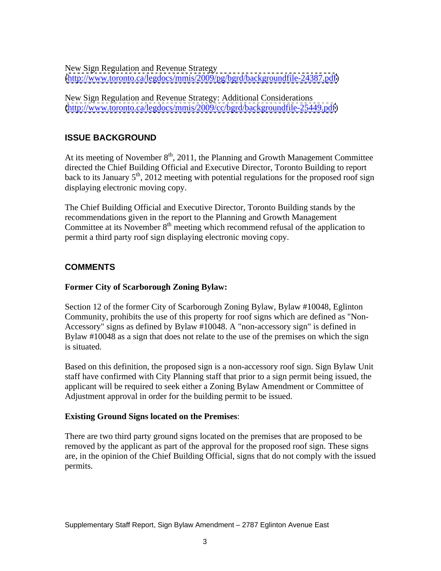New Sign Regulation and Revenue Strategy

[\(http://www.toronto.ca/legdocs/mmis/2009/pg/bgrd/backgroundfile-24387.pdf\)](http://www.toronto.ca/legdocs/mmis/2009/pg/bgrd/backgroundfile-24387.pdf)

New Sign Regulation and Revenue Strategy: Additional Considerations [\(http://www.toronto.ca/legdocs/mmis/2009/cc/bgrd/backgroundfile-25449.pdf\)](http://www.toronto.ca/legdocs/mmis/2009/cc/bgrd/backgroundfile-25449.pdf)

## **ISSUE BACKGROUND**

At its meeting of November  $8<sup>th</sup>$ , 2011, the Planning and Growth Management Committee directed the Chief Building Official and Executive Director, Toronto Building to report back to its January 5<sup>th</sup>, 2012 meeting with potential regulations for the proposed roof sign displaying electronic moving copy.

The Chief Building Official and Executive Director, Toronto Building stands by the recommendations given in the report to the Planning and Growth Management Committee at its November  $8<sup>th</sup>$  meeting which recommend refusal of the application to permit a third party roof sign displaying electronic moving copy.

## **COMMENTS**

#### **Former City of Scarborough Zoning Bylaw:**

Section 12 of the former City of Scarborough Zoning Bylaw, Bylaw #10048, Eglinton Community, prohibits the use of this property for roof signs which are defined as "Non- Accessory" signs as defined by Bylaw #10048. A "non-accessory sign" is defined in Bylaw #10048 as a sign that does not relate to the use of the premises on which the sign is situated*.* 

Based on this definition, the proposed sign is a non-accessory roof sign. Sign Bylaw Unit staff have confirmed with City Planning staff that prior to a sign permit being issued, the applicant will be required to seek either a Zoning Bylaw Amendment or Committee of Adjustment approval in order for the building permit to be issued.

#### **Existing Ground Signs located on the Premises**:

There are two third party ground signs located on the premises that are proposed to be removed by the applicant as part of the approval for the proposed roof sign. These signs are, in the opinion of the Chief Building Official, signs that do not comply with the issued permits.